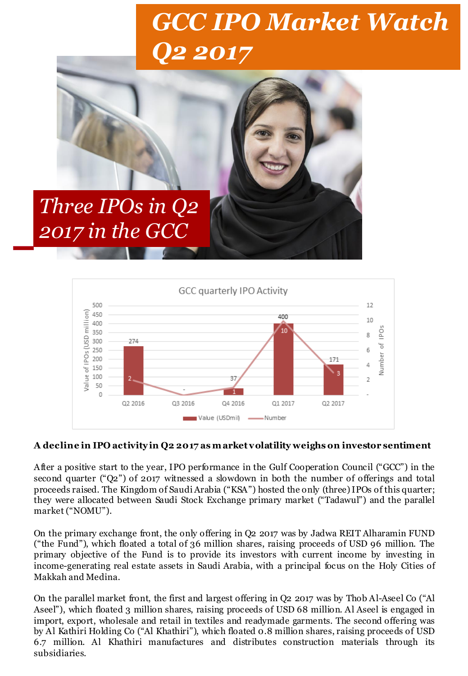# *GCC IPO Market Watch Q2 2017*





#### **A decline in IPO activity in Q2 2017 as m arket volatility weighs on investor sentiment**

After a positive start to the year, IPO performance in the Gulf Cooperation Council ("GCC") in the second quarter ("Q2") of 2017 witnessed a slowdown in both the number of offerings and total proceeds raised. The Kingdom of Saudi Arabia ("KSA") hosted the only (three)IPOs of this quarter; they were allocated between Saudi Stock Exchange primary market ("Tadawul") and the parallel market ("NOMU").

On the primary exchange front, the only offering in Q2 2017 was by Jadwa REIT Alharamin FUND ("the Fund"), which floated a total of 36 million shares, raising proceeds of USD 96 million. The primary objective of the Fund is to provide its investors with current income by investing in income-generating real estate assets in Saudi Arabia, with a principal focus on the Holy Cities of Makkah and Medina.

On the parallel market front, the first and largest offering in Q2 2017 was by Thob Al-Aseel Co ("Al Aseel"), which floated 3 million shares, raising proceeds of USD 68 million. Al Aseel is engaged in import, export, wholesale and retail in textiles and readymade garments. The second offering was by Al Kathiri Holding Co ("Al Khathiri"), which floated 0.8 million shares, raising proceeds of USD 6.7 million. Al Khathiri manufactures and distributes construction materials through its subsidiaries.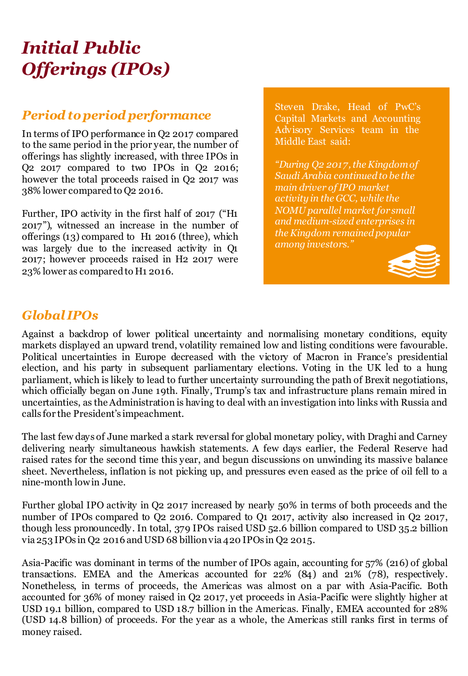# *Initial Public Offerings (IPOs)*

## *Period toperiod performance*

In terms of IPO performance in Q2 2017 compared to the same period in the prior year, the number of offerings has slightly increased, with three IPOs in Q2 2017 compared to two IPOs in Q2 2016; however the total proceeds raised in Q2 2017 was 38% lower compared to Q2 2016.

Further, IPO activity in the first half of 2017 ("H1 2017"), witnessed an increase in the number of offerings (13) compared to H1 2016 (three), which was largely due to the increased activity in Q1 2017; however proceeds raised in H2 2017 were 23% lower as comparedto H1 2016.

Steven Drake, Head of PwC's Capital Markets and Accounting Advisory Services team in the Middle East said:

*"During Q2 2017, the Kingdom of Saudi Arabia continued to be the main driver of IPO market activity in the GCC, while the NOMU parallel market for small and medium-sized enterprises in the Kingdom remained popular among investors."*



### *Global IPOs*

Against a backdrop of lower political uncertainty and normalising monetary conditions, equity markets displayed an upward trend, volatility remained low and listing conditions were favourable. Political uncertainties in Europe decreased with the victory of Macron in France's presidential election, and his party in subsequent parliamentary elections. Voting in the UK led to a hung parliament, which is likely to lead to further uncertainty surrounding the path of Brexit negotiations, which officially began on June 19th. Finally, Trump's tax and infrastructure plans remain mired in uncertainties, as the Administration is having to deal with an investigation into links with Russia and calls for the President's impeachment.

The last few days of June marked a stark reversal for global monetary policy, with Draghi and Carney delivering nearly simultaneous hawkish statements. A few days earlier, the Federal Reserve had raised rates for the second time this year, and begun discussions on unwinding its massive balance sheet. Nevertheless, inflation is not picking up, and pressures even eased as the price of oil fell to a nine-month lowin June.

Further global IPO activity in Q2 2017 increased by nearly 50% in terms of both proceeds and the number of IPOs compared to Q2 2016. Compared to Q1 2017, activity also increased in Q2 2017, though less pronouncedly. In total, 379 IPOs raised USD 52.6 billion compared to USD 35.2 billion via 253 IPOs in Q2 2016 and USD 68 billion via 420 IPOs in Q2 2015.

Asia-Pacific was dominant in terms of the number of IPOs again, accounting for 57% (216) of global transactions. EMEA and the Americas accounted for 22% (84) and 21% (78), respectively. Nonetheless, in terms of proceeds, the Americas was almost on a par with Asia-Pacific. Both accounted for 36% of money raised in Q2 2017, yet proceeds in Asia-Pacific were slightly higher at USD 19.1 billion, compared to USD 18.7 billion in the Americas. Finally, EMEA accounted for 28% (USD 14.8 billion) of proceeds. For the year as a whole, the Americas still ranks first in terms of money raised.